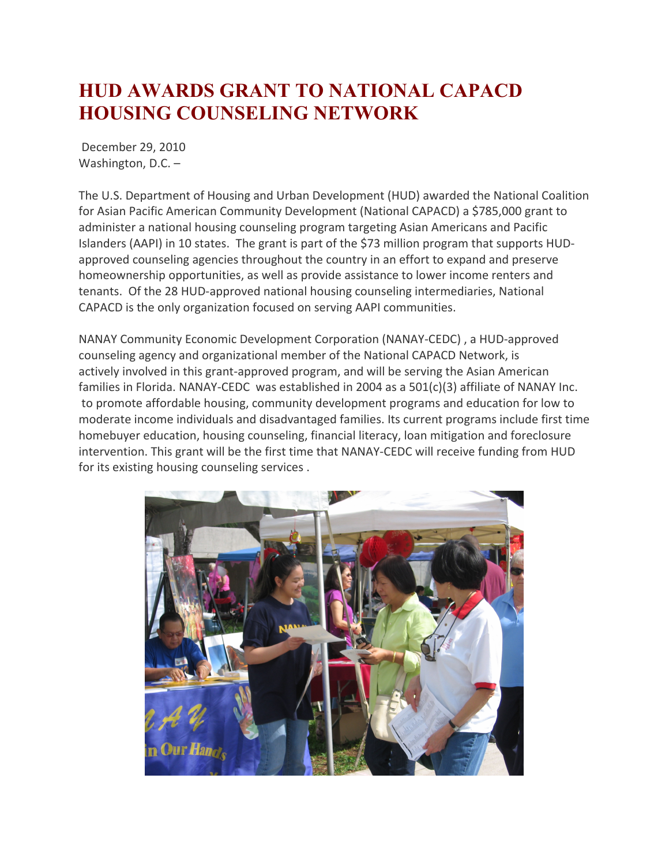## **HUD AWARDS GRANT TO NATIONAL CAPACD HOUSING COUNSELING NETWORK**

December 29, 2010 Washington, D.C. –

The U.S. Department of Housing and Urban Development (HUD) awarded the National Coalition for Asian Pacific American Community Development (National CAPACD) a \$785,000 grant to administer a national housing counseling program targeting Asian Americans and Pacific Islanders (AAPI) in 10 states. The grant is part of the \$73 million program that supports HUDapproved counseling agencies throughout the country in an effort to expand and preserve homeownership opportunities, as well as provide assistance to lower income renters and tenants. Of the 28 HUD-approved national housing counseling intermediaries, National CAPACD is the only organization focused on serving AAPI communities.

NANAY Community Economic Development Corporation (NANAY-CEDC) , a HUD-approved counseling agency and organizational member of the National CAPACD Network, is actively involved in this grant-approved program, and will be serving the Asian American families in Florida. NANAY-CEDC was established in 2004 as a 501(c)(3) affiliate of NANAY Inc. to promote affordable housing, community development programs and education for low to moderate income individuals and disadvantaged families. Its current programs include first time homebuyer education, housing counseling, financial literacy, loan mitigation and foreclosure intervention. This grant will be the first time that NANAY-CEDC will receive funding from HUD for its existing housing counseling services .

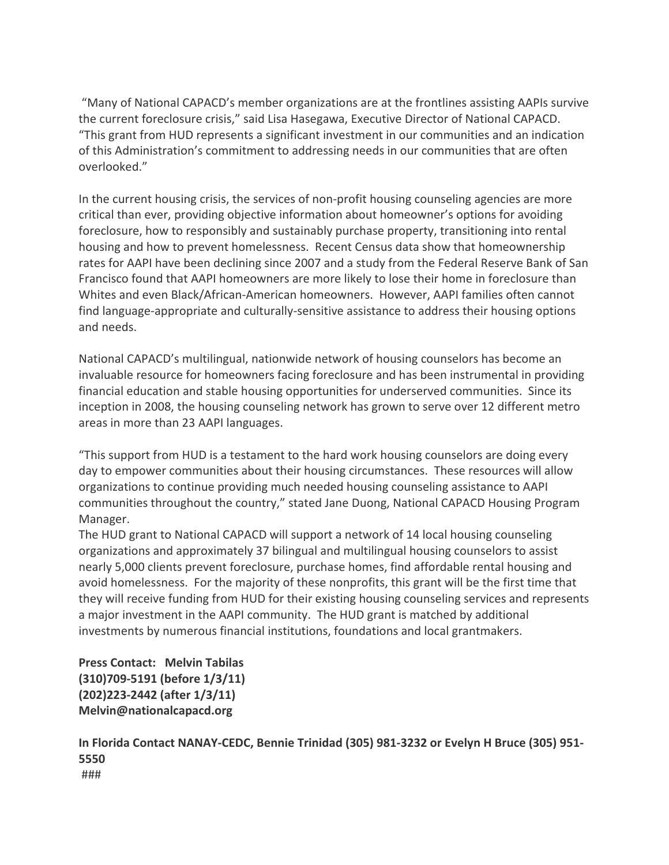"Many of National CAPACD's member organizations are at the frontlines assisting AAPIs survive the current foreclosure crisis," said Lisa Hasegawa, Executive Director of National CAPACD. "This grant from HUD represents a significant investment in our communities and an indication of this Administration's commitment to addressing needs in our communities that are often overlooked."

In the current housing crisis, the services of non-profit housing counseling agencies are more critical than ever, providing objective information about homeowner's options for avoiding foreclosure, how to responsibly and sustainably purchase property, transitioning into rental housing and how to prevent homelessness. Recent Census data show that homeownership rates for AAPI have been declining since 2007 and a study from the Federal Reserve Bank of San Francisco found that AAPI homeowners are more likely to lose their home in foreclosure than Whites and even Black/African-American homeowners. However, AAPI families often cannot find language-appropriate and culturally-sensitive assistance to address their housing options and needs.

National CAPACD's multilingual, nationwide network of housing counselors has become an invaluable resource for homeowners facing foreclosure and has been instrumental in providing financial education and stable housing opportunities for underserved communities. Since its inception in 2008, the housing counseling network has grown to serve over 12 different metro areas in more than 23 AAPI languages.

"This support from HUD is a testament to the hard work housing counselors are doing every day to empower communities about their housing circumstances. These resources will allow organizations to continue providing much needed housing counseling assistance to AAPI communities throughout the country," stated Jane Duong, National CAPACD Housing Program Manager.

The HUD grant to National CAPACD will support a network of 14 local housing counseling organizations and approximately 37 bilingual and multilingual housing counselors to assist nearly 5,000 clients prevent foreclosure, purchase homes, find affordable rental housing and avoid homelessness. For the majority of these nonprofits, this grant will be the first time that they will receive funding from HUD for their existing housing counseling services and represents a major investment in the AAPI community. The HUD grant is matched by additional investments by numerous financial institutions, foundations and local grantmakers.

**Press Contact: Melvin Tabilas (310)709-5191 (before 1/3/11) (202)223-2442 (after 1/3/11) Melvin@nationalcapacd.org**

**In Florida Contact NANAY-CEDC, Bennie Trinidad (305) 981-3232 or Evelyn H Bruce (305) 951- 5550** ###